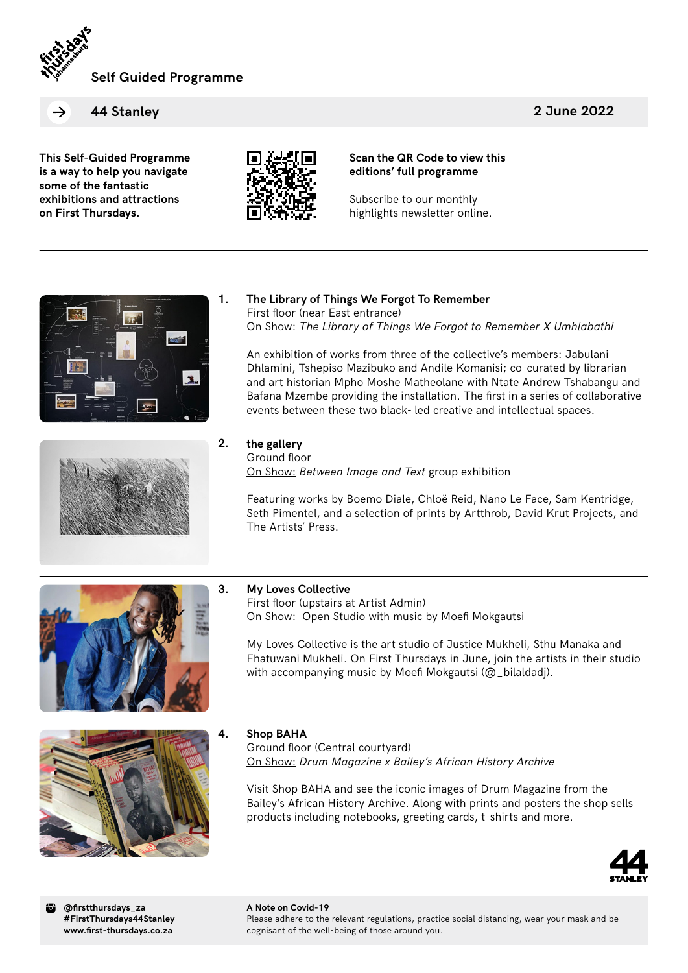

**2 June 2022**

**44 Stanley**

**This Self-Guided Programme is a way to help you navigate some of the fantastic exhibitions and attractions on First Thursdays.**



**Scan the QR Code to view this editions' full programme**

Subscribe to our monthly highlights newsletter online.





# **The Library of Things We Forgot To Remember** First floor (near East entrance) On Show: *The Library of Things We Forgot to Remember X Umhlabathi*

An exhibition of works from three of the collective's members: Jabulani Dhlamini, Tshepiso Mazibuko and Andile Komanisi; co-curated by librarian and art historian Mpho Moshe Matheolane with Ntate Andrew Tshabangu and Bafana Mzembe providing the installation. The first in a series of collaborative events between these two black- led creative and intellectual spaces.

**2. the gallery**

Ground floor On Show: *Between Image and Text* group exhibition

Featuring works by Boemo Diale, Chloë Reid, Nano Le Face, Sam Kentridge, Seth Pimentel, and a selection of prints by Artthrob, David Krut Projects, and The Artists' Press.



### **3. My Loves Collective**

First floor (upstairs at Artist Admin) On Show: Open Studio with music by Moefi Mokgautsi

My Loves Collective is the art studio of Justice Mukheli, Sthu Manaka and Fhatuwani Mukheli. On First Thursdays in June, join the artists in their studio with accompanying music by Moefi Mokgautsi (@\_bilaldadj).



### **4. Shop BAHA**

Ground floor (Central courtyard) On Show: *Drum Magazine x Bailey's African History Archive*

Visit Shop BAHA and see the iconic images of Drum Magazine from the Bailey's African History Archive. Along with prints and posters the shop sells products including notebooks, greeting cards, t-shirts and more.